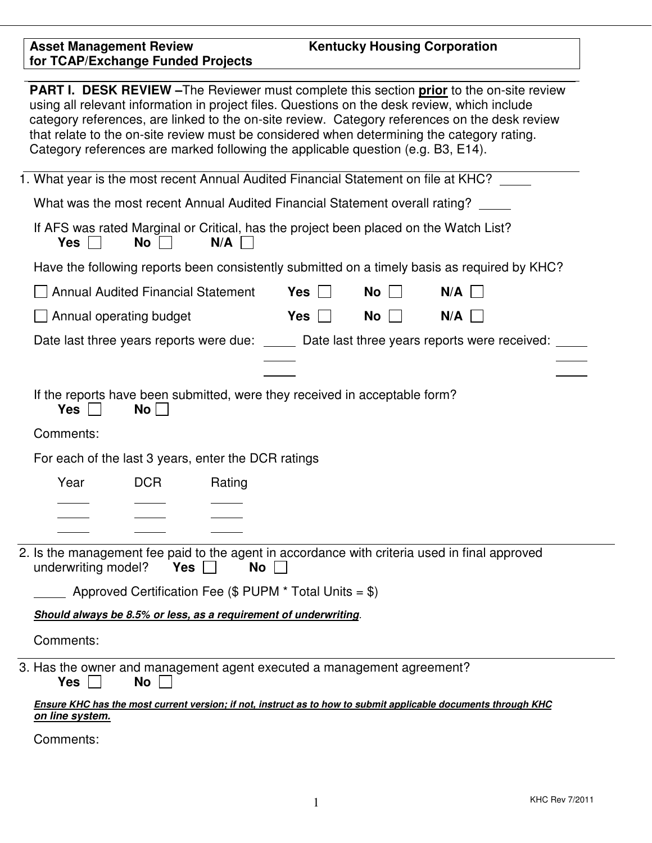| <b>PART I. DESK REVIEW</b> - The Reviewer must complete this section <b>prior</b> to the on-site review<br>using all relevant information in project files. Questions on the desk review, which include<br>category references, are linked to the on-site review. Category references on the desk review<br>that relate to the on-site review must be considered when determining the category rating.<br>Category references are marked following the applicable question (e.g. B3, E14). |                         |                                           |                                                                            |            |    |                                                                                                                |  |
|--------------------------------------------------------------------------------------------------------------------------------------------------------------------------------------------------------------------------------------------------------------------------------------------------------------------------------------------------------------------------------------------------------------------------------------------------------------------------------------------|-------------------------|-------------------------------------------|----------------------------------------------------------------------------|------------|----|----------------------------------------------------------------------------------------------------------------|--|
|                                                                                                                                                                                                                                                                                                                                                                                                                                                                                            |                         |                                           |                                                                            |            |    | 1. What year is the most recent Annual Audited Financial Statement on file at KHC?                             |  |
|                                                                                                                                                                                                                                                                                                                                                                                                                                                                                            |                         |                                           |                                                                            |            |    | What was the most recent Annual Audited Financial Statement overall rating?                                    |  |
|                                                                                                                                                                                                                                                                                                                                                                                                                                                                                            | <b>Yes</b>              | No                                        | N/A                                                                        |            |    | If AFS was rated Marginal or Critical, has the project been placed on the Watch List?                          |  |
|                                                                                                                                                                                                                                                                                                                                                                                                                                                                                            |                         |                                           |                                                                            |            |    | Have the following reports been consistently submitted on a timely basis as required by KHC?                   |  |
|                                                                                                                                                                                                                                                                                                                                                                                                                                                                                            |                         | <b>Annual Audited Financial Statement</b> |                                                                            | Yes $\Box$ | No | $N/A$                                                                                                          |  |
|                                                                                                                                                                                                                                                                                                                                                                                                                                                                                            | Annual operating budget |                                           |                                                                            | Yes        | No | N/A                                                                                                            |  |
|                                                                                                                                                                                                                                                                                                                                                                                                                                                                                            |                         |                                           |                                                                            |            |    | Date last three years reports were due: _____ Date last three years reports were received: ___                 |  |
|                                                                                                                                                                                                                                                                                                                                                                                                                                                                                            |                         |                                           |                                                                            |            |    |                                                                                                                |  |
|                                                                                                                                                                                                                                                                                                                                                                                                                                                                                            | <b>Yes</b>              | No <sub>1</sub>                           | If the reports have been submitted, were they received in acceptable form? |            |    |                                                                                                                |  |
|                                                                                                                                                                                                                                                                                                                                                                                                                                                                                            | Comments:               |                                           |                                                                            |            |    |                                                                                                                |  |
|                                                                                                                                                                                                                                                                                                                                                                                                                                                                                            |                         |                                           | For each of the last 3 years, enter the DCR ratings                        |            |    |                                                                                                                |  |
|                                                                                                                                                                                                                                                                                                                                                                                                                                                                                            | Year                    | <b>DCR</b>                                | Rating                                                                     |            |    |                                                                                                                |  |
|                                                                                                                                                                                                                                                                                                                                                                                                                                                                                            |                         |                                           |                                                                            |            |    |                                                                                                                |  |
|                                                                                                                                                                                                                                                                                                                                                                                                                                                                                            |                         |                                           |                                                                            |            |    |                                                                                                                |  |
| 2. Is the management fee paid to the agent in accordance with criteria used in final approved<br>underwriting model?<br>Yes    <br><b>No</b>                                                                                                                                                                                                                                                                                                                                               |                         |                                           |                                                                            |            |    |                                                                                                                |  |
| Approved Certification Fee ( $$$ PUPM $*$ Total Units = $$$ )                                                                                                                                                                                                                                                                                                                                                                                                                              |                         |                                           |                                                                            |            |    |                                                                                                                |  |
| Should always be 8.5% or less, as a requirement of underwriting.                                                                                                                                                                                                                                                                                                                                                                                                                           |                         |                                           |                                                                            |            |    |                                                                                                                |  |
|                                                                                                                                                                                                                                                                                                                                                                                                                                                                                            | Comments:               |                                           |                                                                            |            |    |                                                                                                                |  |
|                                                                                                                                                                                                                                                                                                                                                                                                                                                                                            | Yes                     | No                                        | 3. Has the owner and management agent executed a management agreement?     |            |    |                                                                                                                |  |
|                                                                                                                                                                                                                                                                                                                                                                                                                                                                                            | on line system.         |                                           |                                                                            |            |    | Ensure KHC has the most current version; if not, instruct as to how to submit applicable documents through KHC |  |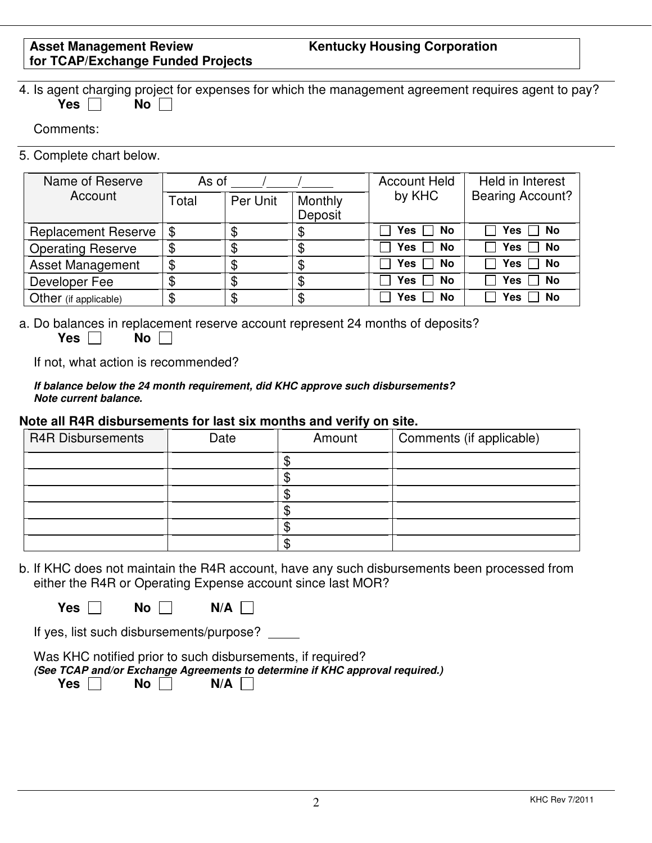# **Kentucky Housing Corporation**

|  |            |        |  | 4. Is agent charging project for expenses for which the management agreement requires agent to pay? |  |  |
|--|------------|--------|--|-----------------------------------------------------------------------------------------------------|--|--|
|  | Yes $\Box$ | No I i |  |                                                                                                     |  |  |

Comments:

5. Complete chart below.

| Name of Reserve            | As of |          |                    | <b>Account Held</b> | Held in Interest        |  |
|----------------------------|-------|----------|--------------------|---------------------|-------------------------|--|
| Account                    | Total | Per Unit | Monthly<br>Deposit | by KHC              | <b>Bearing Account?</b> |  |
| <b>Replacement Reserve</b> | \$    | Φ        | S                  | Yes $\Box$ No       | Yes<br><b>No</b>        |  |
| <b>Operating Reserve</b>   | \$    | \$       | \$                 | Yes $\Box$ No       | $\Box$ No<br>Yes        |  |
| <b>Asset Management</b>    | \$    |          |                    | Yes  <br>No         | Yes<br>No               |  |
| Developer Fee              | Φ     | \$       | ጥ<br>Œ             | Yes<br>No           | No<br>Yes               |  |
| Other (if applicable)      | \$    | \$       | \$                 | Yes<br>No           | No<br>Yes.              |  |

a. Do balances in replacement reserve account represent 24 months of deposits? **Yes No No** 

If not, what action is recommended?

| If balance below the 24 month requirement, did KHC approve such disbursements? |  |
|--------------------------------------------------------------------------------|--|
| Note current balance.                                                          |  |

#### **Note all R4R disbursements for last six months and verify on site.**

| <b>R4R Disbursements</b> | Date | Amount | Comments (if applicable) |
|--------------------------|------|--------|--------------------------|
|                          |      |        |                          |
|                          |      |        |                          |
|                          |      |        |                          |
|                          |      |        |                          |
|                          |      |        |                          |
|                          |      | w      |                          |

b. If KHC does not maintain the R4R account, have any such disbursements been processed from either the R4R or Operating Expense account since last MOR?

 $Yes \Box$  **No**  $\Pi$  **N/A**  $\Pi$ 

If yes, list such disbursements/purpose?

Was KHC notified prior to such disbursements, if required? *(See TCAP and/or Exchange Agreements to determine if KHC approval required.)*

Yes No N/A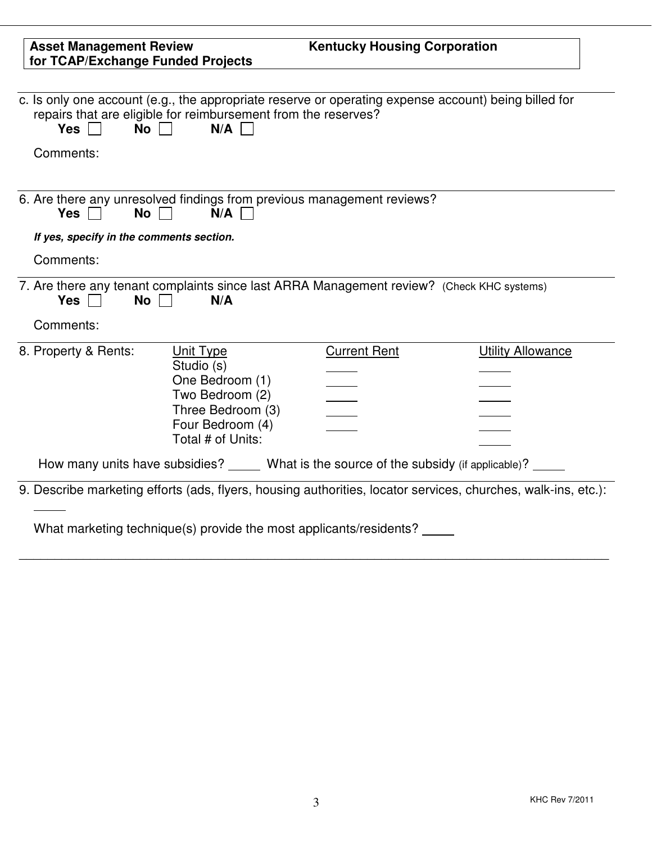| <b>Asset Management Review</b><br>for TCAP/Exchange Funded Projects |                                                                                                                                                                               | <b>Kentucky Housing Corporation</b> |                          |
|---------------------------------------------------------------------|-------------------------------------------------------------------------------------------------------------------------------------------------------------------------------|-------------------------------------|--------------------------|
| <b>No</b><br>Yes $\Box$                                             | c. Is only one account (e.g., the appropriate reserve or operating expense account) being billed for<br>repairs that are eligible for reimbursement from the reserves?<br>N/A |                                     |                          |
| Comments:                                                           |                                                                                                                                                                               |                                     |                          |
| Yes<br><b>No</b>                                                    | 6. Are there any unresolved findings from previous management reviews?<br>N/A                                                                                                 |                                     |                          |
| If yes, specify in the comments section.                            |                                                                                                                                                                               |                                     |                          |
|                                                                     |                                                                                                                                                                               |                                     |                          |
| Comments:                                                           |                                                                                                                                                                               |                                     |                          |
| Yes  <br><b>No</b><br>Comments:                                     | 7. Are there any tenant complaints since last ARRA Management review? (Check KHC systems)<br>N/A                                                                              |                                     |                          |
| 8. Property & Rents:                                                | Unit Type<br>Studio (s)<br>One Bedroom (1)<br>Two Bedroom (2)<br>Three Bedroom (3)<br>Four Bedroom (4)<br>Total # of Units:                                                   | <b>Current Rent</b>                 | <b>Utility Allowance</b> |
|                                                                     | How many units have subsidies? _____ What is the source of the subsidy (if applicable)? ____                                                                                  |                                     |                          |

\_\_\_\_\_\_\_\_\_\_\_\_\_\_\_\_\_\_\_\_\_\_\_\_\_\_\_\_\_\_\_\_\_\_\_\_\_\_\_\_\_\_\_\_\_\_\_\_\_\_\_\_\_\_\_\_\_\_\_\_\_\_\_\_\_\_\_\_\_\_\_\_\_\_\_\_\_\_\_\_\_\_\_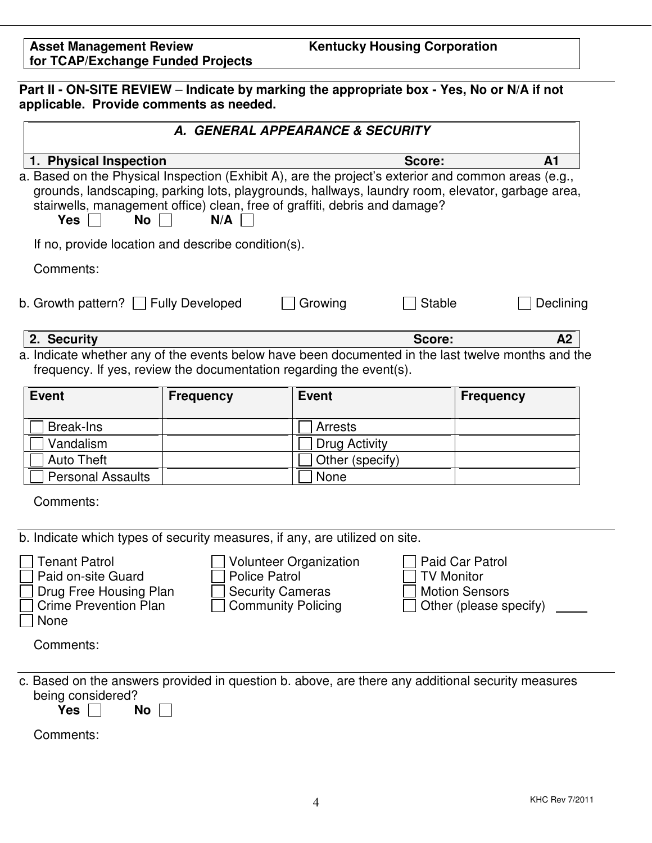**Part II - ON-SITE REVIEW** – **Indicate by marking the appropriate box - Yes, No or N/A if not applicable. Provide comments as needed.**

|                                                                                                                                                                                                                                                                                                                         |                                                                              | A. GENERAL APPEARANCE & SECURITY                                                                   |                                                                                         |  |  |
|-------------------------------------------------------------------------------------------------------------------------------------------------------------------------------------------------------------------------------------------------------------------------------------------------------------------------|------------------------------------------------------------------------------|----------------------------------------------------------------------------------------------------|-----------------------------------------------------------------------------------------|--|--|
| 1. Physical Inspection                                                                                                                                                                                                                                                                                                  |                                                                              | Score:                                                                                             | A1                                                                                      |  |  |
| a. Based on the Physical Inspection (Exhibit A), are the project's exterior and common areas (e.g.,<br>grounds, landscaping, parking lots, playgrounds, hallways, laundry room, elevator, garbage area,<br>stairwells, management office) clean, free of graffiti, debris and damage?<br><b>No</b><br><b>Yes</b><br>N/A |                                                                              |                                                                                                    |                                                                                         |  |  |
| If no, provide location and describe condition(s).                                                                                                                                                                                                                                                                      |                                                                              |                                                                                                    |                                                                                         |  |  |
| Comments:                                                                                                                                                                                                                                                                                                               |                                                                              |                                                                                                    |                                                                                         |  |  |
| b. Growth pattern? $\Box$ Fully Developed                                                                                                                                                                                                                                                                               |                                                                              | Growing                                                                                            | <b>Stable</b><br>Declining                                                              |  |  |
| 2. Security                                                                                                                                                                                                                                                                                                             |                                                                              | Score:                                                                                             | A2                                                                                      |  |  |
| frequency. If yes, review the documentation regarding the event(s).                                                                                                                                                                                                                                                     |                                                                              | a. Indicate whether any of the events below have been documented in the last twelve months and the |                                                                                         |  |  |
| <b>Event</b>                                                                                                                                                                                                                                                                                                            | <b>Frequency</b>                                                             | <b>Event</b>                                                                                       | <b>Frequency</b>                                                                        |  |  |
| <b>Break-Ins</b>                                                                                                                                                                                                                                                                                                        |                                                                              | <b>Arrests</b>                                                                                     |                                                                                         |  |  |
| Vandalism                                                                                                                                                                                                                                                                                                               |                                                                              | Drug Activity                                                                                      |                                                                                         |  |  |
| <b>Auto Theft</b>                                                                                                                                                                                                                                                                                                       |                                                                              | Other (specify)                                                                                    |                                                                                         |  |  |
| <b>Personal Assaults</b>                                                                                                                                                                                                                                                                                                |                                                                              | None                                                                                               |                                                                                         |  |  |
| Comments:                                                                                                                                                                                                                                                                                                               |                                                                              |                                                                                                    |                                                                                         |  |  |
|                                                                                                                                                                                                                                                                                                                         |                                                                              | b. Indicate which types of security measures, if any, are utilized on site.                        |                                                                                         |  |  |
| <b>Tenant Patrol</b><br>Paid on-site Guard<br>Drug Free Housing Plan<br><b>Crime Prevention Plan</b><br>None                                                                                                                                                                                                            | <b>Police Patrol</b><br><b>Security Cameras</b><br>$\Box$ Community Policing | <b>Volunteer Organization</b>                                                                      | Paid Car Patrol<br><b>TV Monitor</b><br><b>Motion Sensors</b><br>Other (please specify) |  |  |
| Comments:                                                                                                                                                                                                                                                                                                               |                                                                              |                                                                                                    |                                                                                         |  |  |
| being considered?<br>Yes  <br>No                                                                                                                                                                                                                                                                                        |                                                                              | c. Based on the answers provided in question b. above, are there any additional security measures  |                                                                                         |  |  |
| Comments:                                                                                                                                                                                                                                                                                                               |                                                                              |                                                                                                    |                                                                                         |  |  |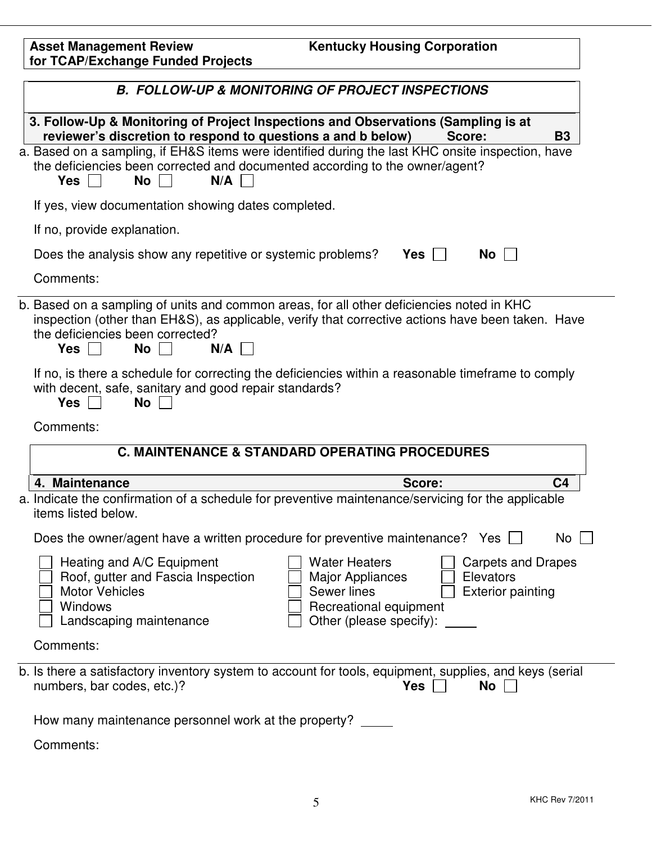| <b>Asset Management Review</b><br>for TCAP/Exchange Funded Projects                                                                                                  | <b>Kentucky Housing Corporation</b>                                                                                                                                                                                                                                           |  |  |  |  |  |  |
|----------------------------------------------------------------------------------------------------------------------------------------------------------------------|-------------------------------------------------------------------------------------------------------------------------------------------------------------------------------------------------------------------------------------------------------------------------------|--|--|--|--|--|--|
|                                                                                                                                                                      | <b>B. FOLLOW-UP &amp; MONITORING OF PROJECT INSPECTIONS</b>                                                                                                                                                                                                                   |  |  |  |  |  |  |
|                                                                                                                                                                      | 3. Follow-Up & Monitoring of Project Inspections and Observations (Sampling is at<br>reviewer's discretion to respond to questions a and b below)<br><b>B3</b><br>Score:<br>a. Based on a sampling, if EH&S items were identified during the last KHC onsite inspection, have |  |  |  |  |  |  |
| the deficiencies been corrected and documented according to the owner/agent?<br>$Yes \mid \mid$<br><b>No</b><br>N/A                                                  |                                                                                                                                                                                                                                                                               |  |  |  |  |  |  |
| If yes, view documentation showing dates completed.                                                                                                                  |                                                                                                                                                                                                                                                                               |  |  |  |  |  |  |
| If no, provide explanation.                                                                                                                                          |                                                                                                                                                                                                                                                                               |  |  |  |  |  |  |
| Does the analysis show any repetitive or systemic problems?                                                                                                          | Yes<br>No                                                                                                                                                                                                                                                                     |  |  |  |  |  |  |
| Comments:                                                                                                                                                            |                                                                                                                                                                                                                                                                               |  |  |  |  |  |  |
| b. Based on a sampling of units and common areas, for all other deficiencies noted in KHC<br>the deficiencies been corrected?<br>$Yes \mid \mid$<br><b>No</b><br>N/A | inspection (other than EH&S), as applicable, verify that corrective actions have been taken. Have                                                                                                                                                                             |  |  |  |  |  |  |
| with decent, safe, sanitary and good repair standards?<br><b>No</b><br><b>Yes</b>                                                                                    | If no, is there a schedule for correcting the deficiencies within a reasonable timeframe to comply                                                                                                                                                                            |  |  |  |  |  |  |
| Comments:                                                                                                                                                            |                                                                                                                                                                                                                                                                               |  |  |  |  |  |  |
|                                                                                                                                                                      | <b>C. MAINTENANCE &amp; STANDARD OPERATING PROCEDURES</b>                                                                                                                                                                                                                     |  |  |  |  |  |  |
| 4. Maintenance                                                                                                                                                       | C <sub>4</sub><br>Score:                                                                                                                                                                                                                                                      |  |  |  |  |  |  |
| a. Indicate the confirmation of a schedule for preventive maintenance/servicing for the applicable<br>items listed below.                                            |                                                                                                                                                                                                                                                                               |  |  |  |  |  |  |
| Does the owner/agent have a written procedure for preventive maintenance? Yes $\Box$                                                                                 | No                                                                                                                                                                                                                                                                            |  |  |  |  |  |  |
| Heating and A/C Equipment<br>Roof, gutter and Fascia Inspection<br><b>Motor Vehicles</b><br><b>Windows</b><br>Landscaping maintenance                                | <b>Water Heaters</b><br><b>Carpets and Drapes</b><br>Major Appliances<br>Elevators<br>Sewer lines<br><b>Exterior painting</b><br>Recreational equipment<br>Other (please specify):                                                                                            |  |  |  |  |  |  |
| Comments:                                                                                                                                                            |                                                                                                                                                                                                                                                                               |  |  |  |  |  |  |
| numbers, bar codes, etc.)?                                                                                                                                           | b. Is there a satisfactory inventory system to account for tools, equipment, supplies, and keys (serial<br><b>Yes</b><br>No                                                                                                                                                   |  |  |  |  |  |  |
| How many maintenance personnel work at the property? _____                                                                                                           |                                                                                                                                                                                                                                                                               |  |  |  |  |  |  |
| Comments:                                                                                                                                                            |                                                                                                                                                                                                                                                                               |  |  |  |  |  |  |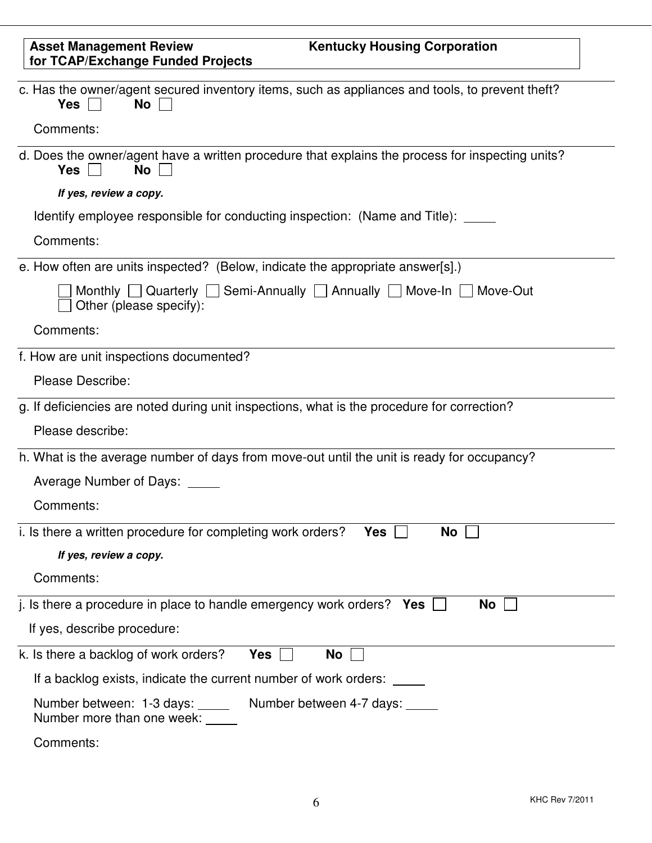| <b>Asset Management Review</b><br><b>Kentucky Housing Corporation</b><br>for TCAP/Exchange Funded Projects                  |
|-----------------------------------------------------------------------------------------------------------------------------|
| c. Has the owner/agent secured inventory items, such as appliances and tools, to prevent theft?<br><b>Yes</b><br>No         |
| Comments:                                                                                                                   |
| d. Does the owner/agent have a written procedure that explains the process for inspecting units?<br><b>Yes</b><br><b>No</b> |
| If yes, review a copy.                                                                                                      |
| Identify employee responsible for conducting inspection: (Name and Title):                                                  |
| Comments:                                                                                                                   |
| e. How often are units inspected? (Below, indicate the appropriate answer[s].)                                              |
| Monthly Quarterly Semi-Annually Annually Move-In Move-Out<br>Other (please specify):                                        |
| Comments:                                                                                                                   |
| f. How are unit inspections documented?                                                                                     |
| <b>Please Describe:</b>                                                                                                     |
| g. If deficiencies are noted during unit inspections, what is the procedure for correction?                                 |
| Please describe:                                                                                                            |
| h. What is the average number of days from move-out until the unit is ready for occupancy?                                  |
| Average Number of Days: _____                                                                                               |
| Comments:                                                                                                                   |
| i. Is there a written procedure for completing work orders?<br>No<br><b>Yes</b>                                             |
| If yes, review a copy.                                                                                                      |
| Comments:                                                                                                                   |
| j. Is there a procedure in place to handle emergency work orders? $Yes$<br>No                                               |
| If yes, describe procedure:                                                                                                 |
| k. Is there a backlog of work orders?<br><b>Yes</b><br>No                                                                   |
| If a backlog exists, indicate the current number of work orders: _____                                                      |
| Number between: 1-3 days: ______ Number between 4-7 days: _____<br>Number more than one week: _____                         |
| Comments:                                                                                                                   |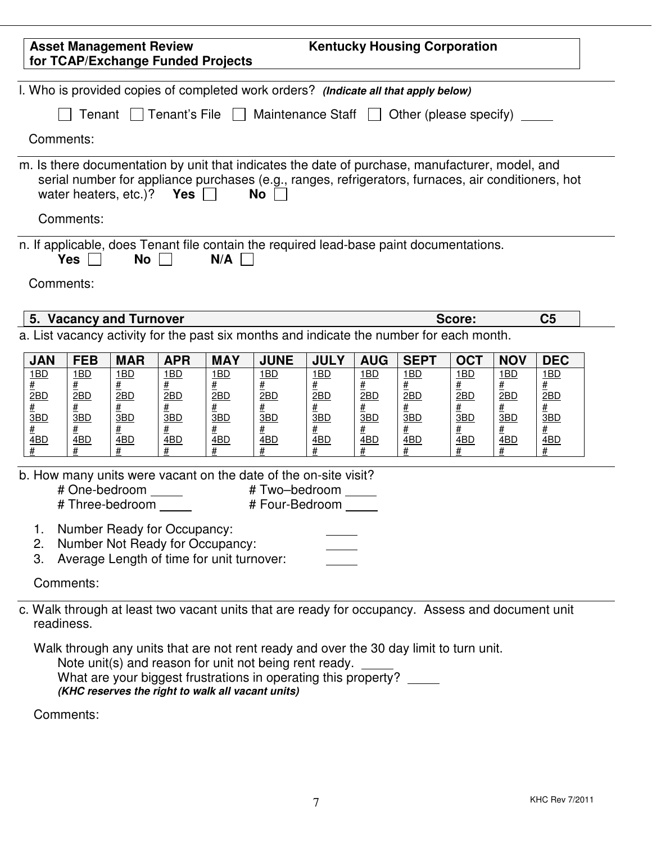| <b>Kentucky Housing Corporation</b><br><b>Asset Management Review</b><br>for TCAP/Exchange Funded Projects                             |                                                |                          |                                                       |                                           |                                                                                                                                                                                                              |                                                              |                                                              |                                         |                                         |                                    |                                              |  |
|----------------------------------------------------------------------------------------------------------------------------------------|------------------------------------------------|--------------------------|-------------------------------------------------------|-------------------------------------------|--------------------------------------------------------------------------------------------------------------------------------------------------------------------------------------------------------------|--------------------------------------------------------------|--------------------------------------------------------------|-----------------------------------------|-----------------------------------------|------------------------------------|----------------------------------------------|--|
|                                                                                                                                        |                                                |                          |                                                       |                                           | I. Who is provided copies of completed work orders? (Indicate all that apply below)                                                                                                                          |                                                              |                                                              |                                         |                                         |                                    |                                              |  |
| $\Box$ Tenant's File $\Box$ Maintenance Staff $\Box$ Other (please specify)<br>Tenant                                                  |                                                |                          |                                                       |                                           |                                                                                                                                                                                                              |                                                              |                                                              |                                         |                                         |                                    |                                              |  |
|                                                                                                                                        | Comments:                                      |                          |                                                       |                                           |                                                                                                                                                                                                              |                                                              |                                                              |                                         |                                         |                                    |                                              |  |
|                                                                                                                                        | water heaters, etc.)?                          |                          | Yes                                                   |                                           | m. Is there documentation by unit that indicates the date of purchase, manufacturer, model, and<br>serial number for appliance purchases (e.g., ranges, refrigerators, furnaces, air conditioners, hot<br>No |                                                              |                                                              |                                         |                                         |                                    |                                              |  |
|                                                                                                                                        | Comments:                                      |                          |                                                       |                                           |                                                                                                                                                                                                              |                                                              |                                                              |                                         |                                         |                                    |                                              |  |
|                                                                                                                                        | <b>Yes</b><br>Comments:                        | No                       |                                                       | N/A                                       | n. If applicable, does Tenant file contain the required lead-base paint documentations.                                                                                                                      |                                                              |                                                              |                                         |                                         |                                    |                                              |  |
|                                                                                                                                        | 5. Vacancy and Turnover                        |                          |                                                       |                                           |                                                                                                                                                                                                              |                                                              |                                                              |                                         | Score:                                  |                                    | C <sub>5</sub>                               |  |
|                                                                                                                                        |                                                |                          |                                                       |                                           | a. List vacancy activity for the past six months and indicate the number for each month.                                                                                                                     |                                                              |                                                              |                                         |                                         |                                    |                                              |  |
| <b>JAN</b>                                                                                                                             | <b>FEB</b>                                     | <b>MAR</b>               | <b>APR</b>                                            | <b>MAY</b>                                | <b>JUNE</b>                                                                                                                                                                                                  | <b>JULY</b>                                                  | <b>AUG</b>                                                   | <b>SEPT</b>                             | <b>OCT</b>                              | <b>NOV</b>                         | <b>DEC</b>                                   |  |
| 1BD<br>#<br>2BD<br>#<br>3BD<br>#<br><u>4BD</u>                                                                                         | 1BD<br>#<br>2BD<br>#<br>3BD<br><u>#</u><br>4BD | 1BD<br>2BD<br>3BD<br>4BD | 1BD<br><u>#</u><br>2BD<br><u>#</u><br>3BD<br>#<br>4BD | 1BD<br>2BD<br><u>#</u><br>3BD<br>#<br>4BD | 1BD<br>#<br>2BD<br>#<br>3BD<br>#<br>4BD                                                                                                                                                                      | 1BD<br><u>#</u><br>2BD<br><u>#</u><br>3BD<br><u>#</u><br>4BD | 1BD<br><u>#</u><br>2BD<br><u>#</u><br>3BD<br><u>#</u><br>4BD | 1BD<br>#<br>2BD<br>#<br>3BD<br>#<br>4BD | 1BD<br>#<br>2BD<br>#<br>3BD<br>#<br>4BD | 1BD<br>2BD<br>#<br>3BD<br>4BD<br># | 1BD<br>#<br>2BD<br>#<br>3BD<br>#<br>4BD<br># |  |
| b. How many units were vacant on the date of the on-site visit?<br># One-bedroom<br># Two-bedroom<br># Four-Bedroom<br># Three-bedroom |                                                |                          |                                                       |                                           |                                                                                                                                                                                                              |                                                              |                                                              |                                         |                                         |                                    |                                              |  |
| Number Ready for Occupancy:<br>1.<br>Number Not Ready for Occupancy:<br>2.<br>3.<br>Average Length of time for unit turnover:          |                                                |                          |                                                       |                                           |                                                                                                                                                                                                              |                                                              |                                                              |                                         |                                         |                                    |                                              |  |
|                                                                                                                                        | Comments:                                      |                          |                                                       |                                           |                                                                                                                                                                                                              |                                                              |                                                              |                                         |                                         |                                    |                                              |  |
|                                                                                                                                        | readiness.                                     |                          |                                                       |                                           | c. Walk through at least two vacant units that are ready for occupancy. Assess and document unit                                                                                                             |                                                              |                                                              |                                         |                                         |                                    |                                              |  |
|                                                                                                                                        |                                                |                          |                                                       |                                           | Walk through any units that are not rent ready and over the 30 day limit to turn unit.                                                                                                                       |                                                              |                                                              |                                         |                                         |                                    |                                              |  |

Note unit(s) and reason for unit not being rent ready. What are your biggest frustrations in operating this property? *(KHC reserves the right to walk all vacant units)*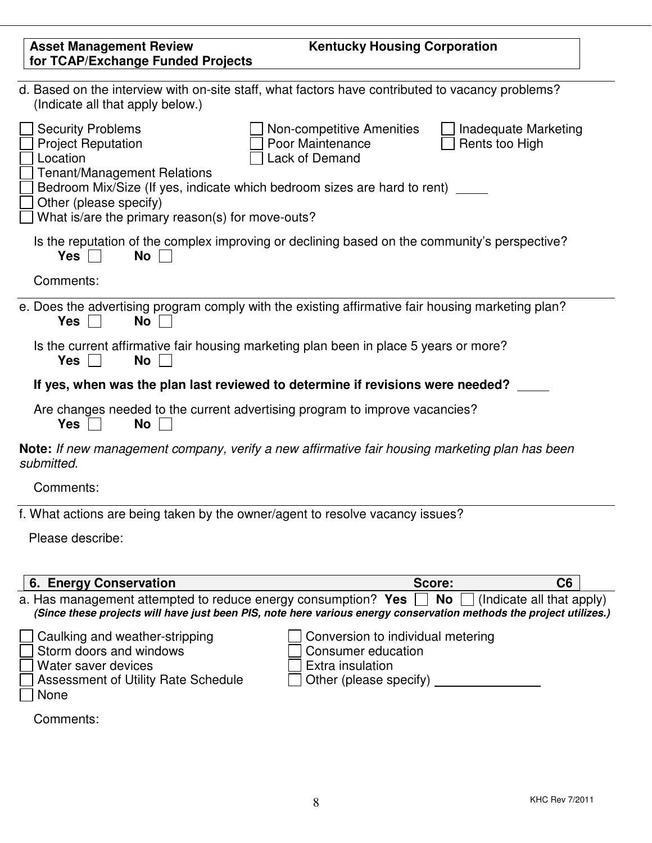| <b>Asset Management Review</b>                                                                                                                                                        | <b>Kentucky Housing Corporation</b>                                                                                                                                                         |
|---------------------------------------------------------------------------------------------------------------------------------------------------------------------------------------|---------------------------------------------------------------------------------------------------------------------------------------------------------------------------------------------|
| for TCAP/Exchange Funded Projects                                                                                                                                                     |                                                                                                                                                                                             |
| (Indicate all that apply below.)                                                                                                                                                      | d. Based on the interview with on-site staff, what factors have contributed to vacancy problems?                                                                                            |
| <b>Security Problems</b><br><b>Project Reputation</b><br>Location<br><b>Tenant/Management Relations</b><br>Other (please specify)<br>What is/are the primary reason(s) for move-outs? | Non-competitive Amenities<br>Inadequate Marketing<br>Poor Maintenance<br>Rents too High<br>Lack of Demand<br>Bedroom Mix/Size (If yes, indicate which bedroom sizes are hard to rent) _____ |
| Yes<br><b>No</b>                                                                                                                                                                      | Is the reputation of the complex improving or declining based on the community's perspective?                                                                                               |
| Comments:                                                                                                                                                                             |                                                                                                                                                                                             |
| <b>Yes</b><br><b>No</b>                                                                                                                                                               | e. Does the advertising program comply with the existing affirmative fair housing marketing plan?                                                                                           |
| <b>No</b><br><b>Yes</b>                                                                                                                                                               | Is the current affirmative fair housing marketing plan been in place 5 years or more?                                                                                                       |
|                                                                                                                                                                                       | If yes, when was the plan last reviewed to determine if revisions were needed?                                                                                                              |
| <b>Yes</b><br><b>No</b>                                                                                                                                                               | Are changes needed to the current advertising program to improve vacancies?                                                                                                                 |
| submitted.                                                                                                                                                                            | Note: If new management company, verify a new affirmative fair housing marketing plan has been                                                                                              |
| Comments:                                                                                                                                                                             |                                                                                                                                                                                             |
|                                                                                                                                                                                       | f. What actions are being taken by the owner/agent to resolve vacancy issues?                                                                                                               |
| Please describe:                                                                                                                                                                      |                                                                                                                                                                                             |
| 6. Energy Conservation                                                                                                                                                                | C6<br>Score:                                                                                                                                                                                |
| a. Has management attempted to reduce energy consumption? Yes                                                                                                                         | No<br>(Indicate all that apply)<br>(Since these projects will have just been PIS, note here various energy conservation methods the project utilizes.)                                      |
| Caulking and weather-stripping<br>Storm doors and windows<br>Water saver devices<br>Assessment of Utility Rate Schedule<br><b>None</b>                                                | Conversion to individual metering<br>Consumer education<br>Extra insulation<br>Other (please specify)                                                                                       |
| Comments:                                                                                                                                                                             |                                                                                                                                                                                             |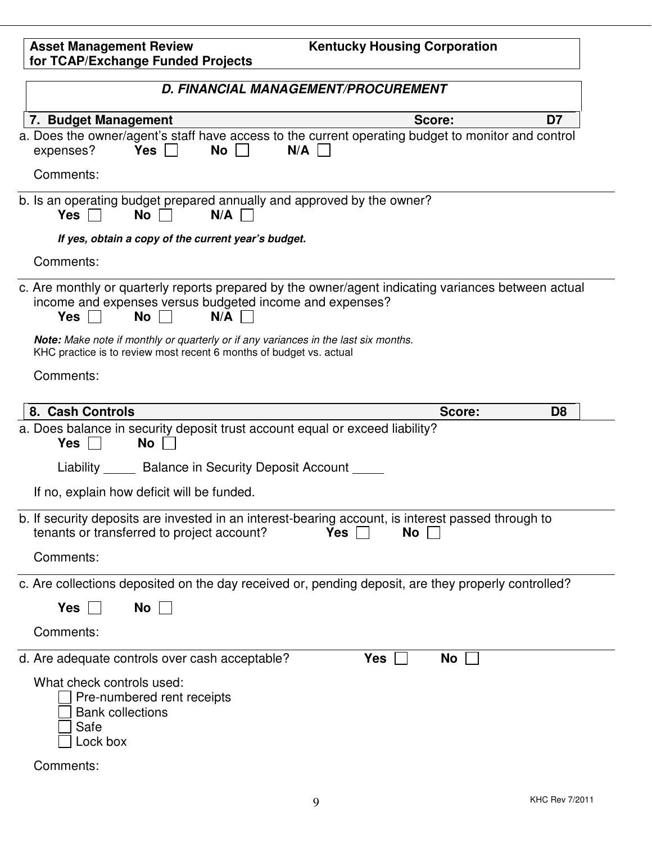| <b>Asset Management Review</b>    | <b>Kentucky Housing Corporation</b> |
|-----------------------------------|-------------------------------------|
| for TCAP/Exchange Funded Projects |                                     |
|                                   |                                     |

| D. FINANCIAL MANAGEMENT/PROCUREMENT                                                                                                                                                                                                                                               |                  |                |
|-----------------------------------------------------------------------------------------------------------------------------------------------------------------------------------------------------------------------------------------------------------------------------------|------------------|----------------|
| 7. Budget Management                                                                                                                                                                                                                                                              | Score:           | D7             |
| a. Does the owner/agent's staff have access to the current operating budget to monitor and control<br>Yes $\Box$<br><b>No</b><br>N/A<br>expenses?                                                                                                                                 |                  |                |
| Comments:                                                                                                                                                                                                                                                                         |                  |                |
| b. Is an operating budget prepared annually and approved by the owner?<br>$No \Box$<br>N/A<br>Yes                                                                                                                                                                                 |                  |                |
| If yes, obtain a copy of the current year's budget.                                                                                                                                                                                                                               |                  |                |
| Comments:                                                                                                                                                                                                                                                                         |                  |                |
| c. Are monthly or quarterly reports prepared by the owner/agent indicating variances between actual<br>income and expenses versus budgeted income and expenses?<br>Yes $\Box$<br>No<br>N/A<br>Note: Make note if monthly or quarterly or if any variances in the last six months. |                  |                |
| KHC practice is to review most recent 6 months of budget vs. actual<br>Comments:                                                                                                                                                                                                  |                  |                |
| 8. Cash Controls                                                                                                                                                                                                                                                                  | Score:           | D <sub>8</sub> |
| a. Does balance in security deposit trust account equal or exceed liability?<br><b>No</b><br>Yes $\vert \ \vert$                                                                                                                                                                  |                  |                |
| Liability Balance in Security Deposit Account                                                                                                                                                                                                                                     |                  |                |
| If no, explain how deficit will be funded.                                                                                                                                                                                                                                        |                  |                |
| b. If security deposits are invested in an interest-bearing account, is interest passed through to<br>tenants or transferred to project account?                                                                                                                                  | <b>Yes</b><br>No |                |
| Comments:                                                                                                                                                                                                                                                                         |                  |                |
| c. Are collections deposited on the day received or, pending deposit, are they properly controlled?                                                                                                                                                                               |                  |                |
| <b>Yes</b><br>No                                                                                                                                                                                                                                                                  |                  |                |
| Comments:                                                                                                                                                                                                                                                                         |                  |                |
| d. Are adequate controls over cash acceptable?                                                                                                                                                                                                                                    | Yes<br>No        |                |
| What check controls used:<br>Pre-numbered rent receipts<br><b>Bank collections</b><br>Safe<br>Lock box                                                                                                                                                                            |                  |                |
| Comments:                                                                                                                                                                                                                                                                         |                  |                |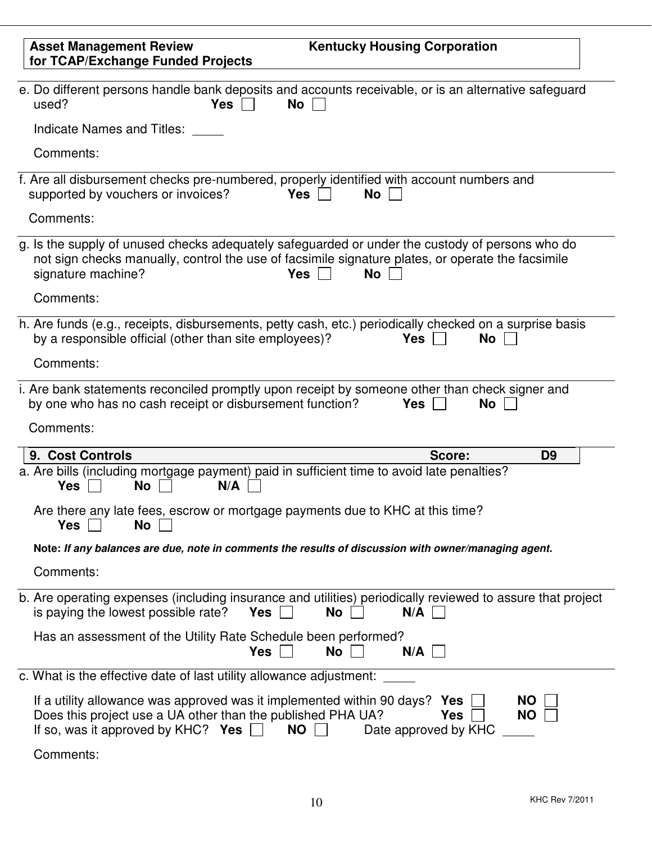| <b>Kentucky Housing Corporation</b><br><b>Asset Management Review</b><br>for TCAP/Exchange Funded Projects                                                                                                                                                   |
|--------------------------------------------------------------------------------------------------------------------------------------------------------------------------------------------------------------------------------------------------------------|
| e. Do different persons handle bank deposits and accounts receivable, or is an alternative safeguard<br>used?<br>No<br>Yes                                                                                                                                   |
| Indicate Names and Titles:                                                                                                                                                                                                                                   |
| Comments:                                                                                                                                                                                                                                                    |
| f. Are all disbursement checks pre-numbered, properly identified with account numbers and<br>supported by vouchers or invoices?<br>Yes $ $<br>No                                                                                                             |
| Comments:                                                                                                                                                                                                                                                    |
| g. Is the supply of unused checks adequately safeguarded or under the custody of persons who do<br>not sign checks manually, control the use of facsimile signature plates, or operate the facsimile<br>signature machine?<br>Yes $\sqrt{ }$<br><b>No</b>    |
| Comments:                                                                                                                                                                                                                                                    |
| h. Are funds (e.g., receipts, disbursements, petty cash, etc.) periodically checked on a surprise basis<br>by a responsible official (other than site employees)?<br>No<br><b>Yes</b>                                                                        |
| Comments:                                                                                                                                                                                                                                                    |
| i. Are bank statements reconciled promptly upon receipt by someone other than check signer and<br>by one who has no cash receipt or disbursement function?<br><b>Yes</b><br>No<br>Comments:                                                                  |
| 9. Cost Controls<br>Score:<br>D <sub>9</sub>                                                                                                                                                                                                                 |
| a. Are bills (including mortgage payment) paid in sufficient time to avoid late penalties?<br><b>No</b><br>N/A<br><b>Yes</b>                                                                                                                                 |
| Are there any late fees, escrow or mortgage payments due to KHC at this time?<br>No<br><b>Yes</b>                                                                                                                                                            |
| Note: If any balances are due, note in comments the results of discussion with owner/managing agent.                                                                                                                                                         |
| Comments:                                                                                                                                                                                                                                                    |
| b. Are operating expenses (including insurance and utilities) periodically reviewed to assure that project<br>is paying the lowest possible rate?<br>Yes $\Box$<br>No<br>$N/A$                                                                               |
| Has an assessment of the Utility Rate Schedule been performed?<br>Yes<br>No<br>$N/A$                                                                                                                                                                         |
| c. What is the effective date of last utility allowance adjustment:                                                                                                                                                                                          |
| If a utility allowance was approved was it implemented within 90 days? Yes<br><b>NO</b><br>Does this project use a UA other than the published PHA UA?<br>Yes<br><b>NO</b><br>If so, was it approved by KHC? Yes $\Box$<br><b>NO</b><br>Date approved by KHC |
| Comments:                                                                                                                                                                                                                                                    |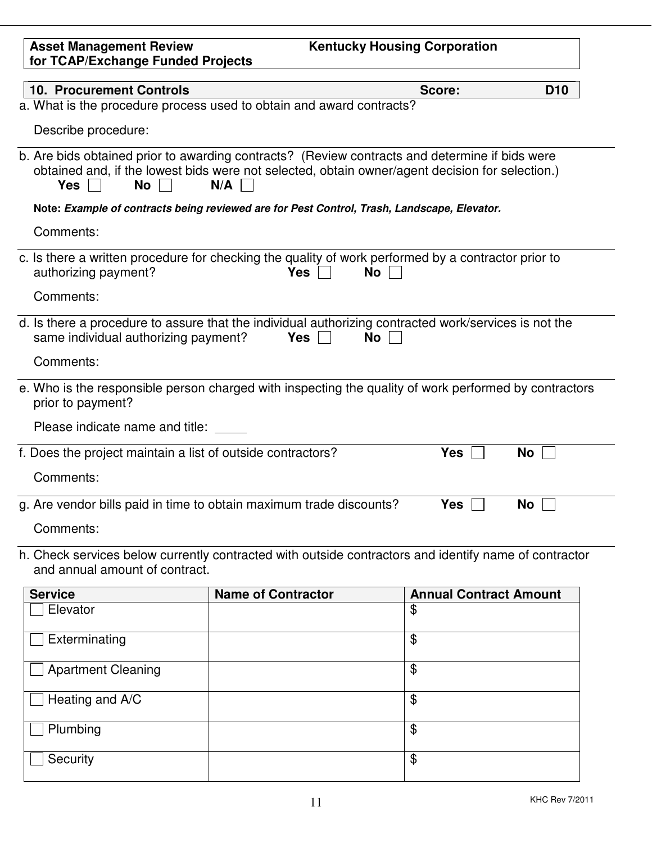| <b>Asset Management Review</b><br>for TCAP/Exchange Funded Projects |                                                                                                                                                                                                          | <b>Kentucky Housing Corporation</b> |                 |
|---------------------------------------------------------------------|----------------------------------------------------------------------------------------------------------------------------------------------------------------------------------------------------------|-------------------------------------|-----------------|
| <b>10. Procurement Controls</b>                                     |                                                                                                                                                                                                          | Score:                              | D <sub>10</sub> |
|                                                                     | a. What is the procedure process used to obtain and award contracts?                                                                                                                                     |                                     |                 |
| Describe procedure:                                                 |                                                                                                                                                                                                          |                                     |                 |
| $No$ $\vert$ $\vert$<br>$Yes \mid \mid$                             | b. Are bids obtained prior to awarding contracts? (Review contracts and determine if bids were<br>obtained and, if the lowest bids were not selected, obtain owner/agent decision for selection.)<br>N/A |                                     |                 |
|                                                                     | Note: Example of contracts being reviewed are for Pest Control, Trash, Landscape, Elevator.                                                                                                              |                                     |                 |
| Comments:                                                           |                                                                                                                                                                                                          |                                     |                 |
| authorizing payment?                                                | c. Is there a written procedure for checking the quality of work performed by a contractor prior to<br>Yes                                                                                               | No                                  |                 |
| Comments:                                                           |                                                                                                                                                                                                          |                                     |                 |
| same individual authorizing payment?                                | d. Is there a procedure to assure that the individual authorizing contracted work/services is not the<br>$Yes$                                                                                           | No                                  |                 |
| Comments:                                                           |                                                                                                                                                                                                          |                                     |                 |
| prior to payment?                                                   | e. Who is the responsible person charged with inspecting the quality of work performed by contractors                                                                                                    |                                     |                 |
| Please indicate name and title:                                     |                                                                                                                                                                                                          |                                     |                 |
| f. Does the project maintain a list of outside contractors?         |                                                                                                                                                                                                          | <b>Yes</b>                          | No              |
| Comments:                                                           |                                                                                                                                                                                                          |                                     |                 |
| Comments:                                                           | g. Are vendor bills paid in time to obtain maximum trade discounts?                                                                                                                                      | <b>Yes</b>                          | No              |
| and annual amount of contract.                                      | h. Check services below currently contracted with outside contractors and identify name of contractor                                                                                                    |                                     |                 |
| <b>Service</b>                                                      | <b>Name of Contractor</b>                                                                                                                                                                                | <b>Annual Contract Amount</b>       |                 |
| Elevator                                                            |                                                                                                                                                                                                          | \$                                  |                 |
| Exterminating                                                       |                                                                                                                                                                                                          | \$                                  |                 |
| <b>Apartment Cleaning</b>                                           |                                                                                                                                                                                                          | \$                                  |                 |
| Heating and A/C                                                     |                                                                                                                                                                                                          | \$                                  |                 |
| Plumbing                                                            |                                                                                                                                                                                                          | \$                                  |                 |
| Security                                                            |                                                                                                                                                                                                          | \$                                  |                 |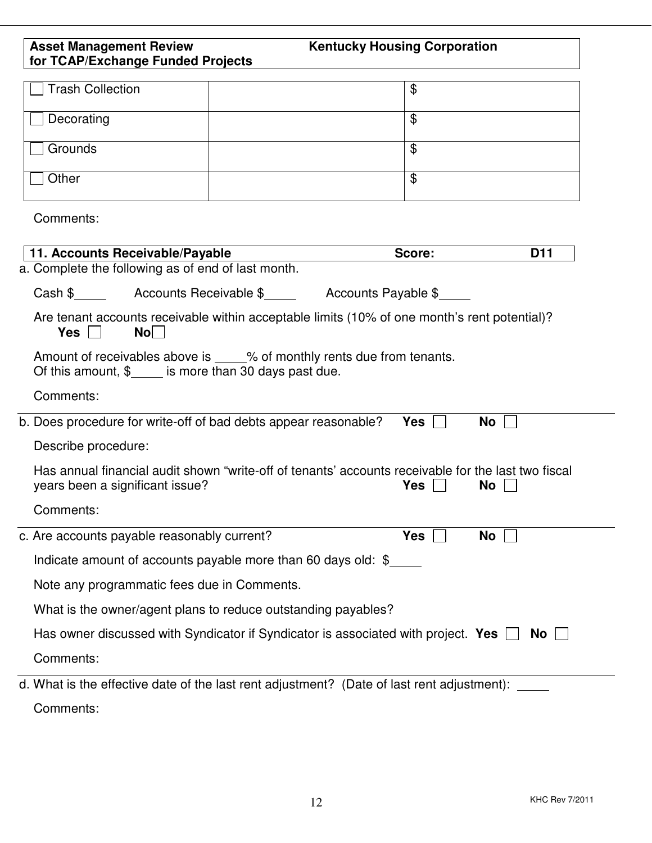| <b>Asset Management Review</b><br>for TCAP/Exchange Funded Projects | <b>Kentucky Housing Corporation</b>                                                                                     |
|---------------------------------------------------------------------|-------------------------------------------------------------------------------------------------------------------------|
| <b>Trash Collection</b>                                             | $\mathfrak{L}$                                                                                                          |
| Decorating                                                          | \$                                                                                                                      |
| Grounds                                                             | \$                                                                                                                      |
| Other                                                               | $\mathfrak{L}$                                                                                                          |
| Comments:                                                           |                                                                                                                         |
| 11. Accounts Receivable/Payable                                     | <b>D11</b><br>Score:                                                                                                    |
| a. Complete the following as of end of last month.                  |                                                                                                                         |
|                                                                     |                                                                                                                         |
| $N$ o $ $<br>Yes                                                    | Are tenant accounts receivable within acceptable limits (10% of one month's rent potential)?                            |
| Of this amount, $\frac{1}{2}$ is more than 30 days past due.        | Amount of receivables above is _____% of monthly rents due from tenants.                                                |
| Comments:                                                           |                                                                                                                         |
| b. Does procedure for write-off of bad debts appear reasonable?     | $Yes \mid \mid$<br>No                                                                                                   |
| Describe procedure:                                                 |                                                                                                                         |
| years been a significant issue?                                     | Has annual financial audit shown "write-off of tenants' accounts receivable for the last two fiscal<br><b>Yes</b><br>No |
| Comments:                                                           |                                                                                                                         |
| c. Are accounts payable reasonably current?                         | <b>Yes</b><br>No                                                                                                        |
|                                                                     | Indicate amount of accounts payable more than 60 days old: $\frac{1}{2}$                                                |
| Note any programmatic fees due in Comments.                         |                                                                                                                         |
| What is the owner/agent plans to reduce outstanding payables?       |                                                                                                                         |
|                                                                     | Has owner discussed with Syndicator if Syndicator is associated with project. Yes $\Box$<br>No l                        |
| Comments:                                                           |                                                                                                                         |
|                                                                     | d. What is the effective date of the last rent adjustment? (Date of last rent adjustment):                              |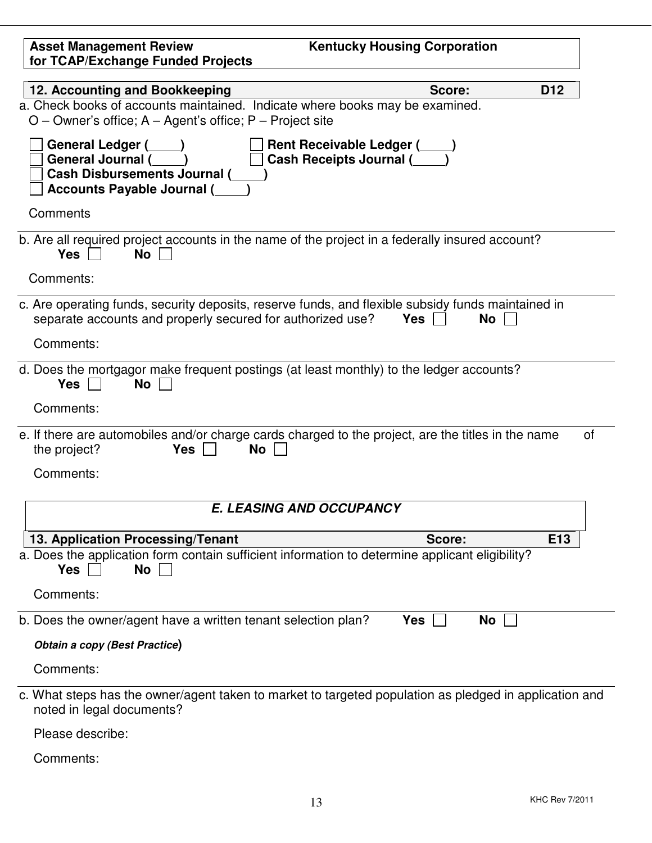| <b>Asset Management Review</b><br>for TCAP/Exchange Funded Projects                                                                                                          | <b>Kentucky Housing Corporation</b>                                                                    |
|------------------------------------------------------------------------------------------------------------------------------------------------------------------------------|--------------------------------------------------------------------------------------------------------|
| 12. Accounting and Bookkeeping<br>a. Check books of accounts maintained. Indicate where books may be examined.<br>$O$ – Owner's office; A – Agent's office; P – Project site | Score:<br>D <sub>12</sub>                                                                              |
| General Ledger (Super )<br><b>General Journal (</b><br><b>Cash Disbursements Journal (</b><br><b>Accounts Payable Journal (</b>                                              | Rent Receivable Ledger (____)<br>Cash Receipts Journal (____)                                          |
| Comments                                                                                                                                                                     |                                                                                                        |
| b. Are all required project accounts in the name of the project in a federally insured account?<br>No<br>Yes  <br>Comments:                                                  |                                                                                                        |
|                                                                                                                                                                              |                                                                                                        |
| c. Are operating funds, security deposits, reserve funds, and flexible subsidy funds maintained in<br>separate accounts and properly secured for authorized use?             | No<br>$Yes \mid \mid$                                                                                  |
| Comments:                                                                                                                                                                    |                                                                                                        |
| d. Does the mortgagor make frequent postings (at least monthly) to the ledger accounts?<br><b>Yes</b><br>No                                                                  |                                                                                                        |
| Comments:                                                                                                                                                                    |                                                                                                        |
| e. If there are automobiles and/or charge cards charged to the project, are the titles in the name<br>the project?<br>$Yes \mid \mid$<br>No                                  | οf                                                                                                     |
| Comments:                                                                                                                                                                    |                                                                                                        |
|                                                                                                                                                                              | <b>E. LEASING AND OCCUPANCY</b>                                                                        |
| 13. Application Processing/Tenant                                                                                                                                            | E13<br>Score:                                                                                          |
| a. Does the application form contain sufficient information to determine applicant eligibility?<br><b>Yes</b><br><b>No</b>                                                   |                                                                                                        |
| Comments:                                                                                                                                                                    |                                                                                                        |
| b. Does the owner/agent have a written tenant selection plan?                                                                                                                | Yes<br>No                                                                                              |
| Obtain a copy (Best Practice)                                                                                                                                                |                                                                                                        |
| Comments:                                                                                                                                                                    |                                                                                                        |
| noted in legal documents?                                                                                                                                                    | c. What steps has the owner/agent taken to market to targeted population as pledged in application and |
| Please describe:                                                                                                                                                             |                                                                                                        |
| Comments:                                                                                                                                                                    |                                                                                                        |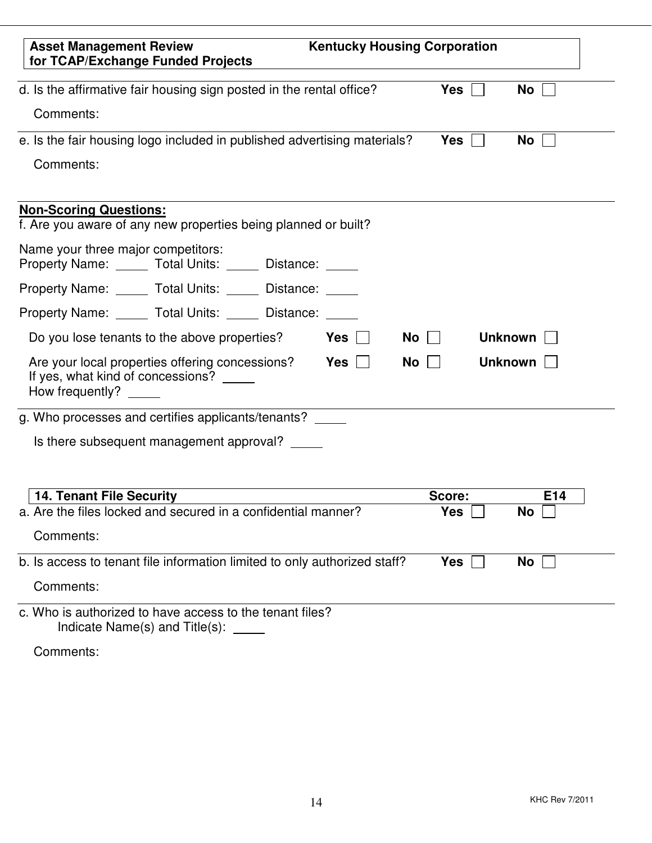| <b>Asset Management Review</b><br>for TCAP/Exchange Funded Projects                                     | <b>Kentucky Housing Corporation</b> |                           |                |
|---------------------------------------------------------------------------------------------------------|-------------------------------------|---------------------------|----------------|
| d. Is the affirmative fair housing sign posted in the rental office?                                    |                                     | <b>Yes</b>                | No             |
| Comments:                                                                                               |                                     |                           |                |
| e. Is the fair housing logo included in published advertising materials?                                |                                     | <b>Yes</b>                | No             |
| Comments:                                                                                               |                                     |                           |                |
| <b>Non-Scoring Questions:</b><br>f. Are you aware of any new properties being planned or built?         |                                     |                           |                |
| Name your three major competitors:<br>Property Name: _____ Total Units: _____ Distance: _____           |                                     |                           |                |
| Property Name: ______ Total Units: ______ Distance: _____                                               |                                     |                           |                |
| Property Name: _____ Total Units: _____ Distance: _____                                                 |                                     |                           |                |
| Do you lose tenants to the above properties?                                                            | $Yes \mid \mid$                     | <b>No</b><br>$\mathbf{1}$ | <b>Unknown</b> |
| Are your local properties offering concessions?<br>If yes, what kind of concessions?<br>How frequently? | Yes                                 | <b>No</b>                 | <b>Unknown</b> |
| g. Who processes and certifies applicants/tenants?                                                      |                                     |                           |                |
| Is there subsequent management approval?                                                                |                                     |                           |                |
|                                                                                                         |                                     |                           |                |
| <b>14. Tenant File Security</b>                                                                         |                                     | Score:                    | E14            |
| a. Are the files locked and secured in a confidential manner?                                           |                                     | Yes                       | No             |
| Comments:                                                                                               |                                     |                           |                |
| b. Is access to tenant file information limited to only authorized staff?                               |                                     | <b>Yes</b>                | No             |
| Comments:                                                                                               |                                     |                           |                |
| c. Who is authorized to have access to the tenant files?<br>Indicate Name(s) and $Title(s)$ : ______    |                                     |                           |                |
| Comments:                                                                                               |                                     |                           |                |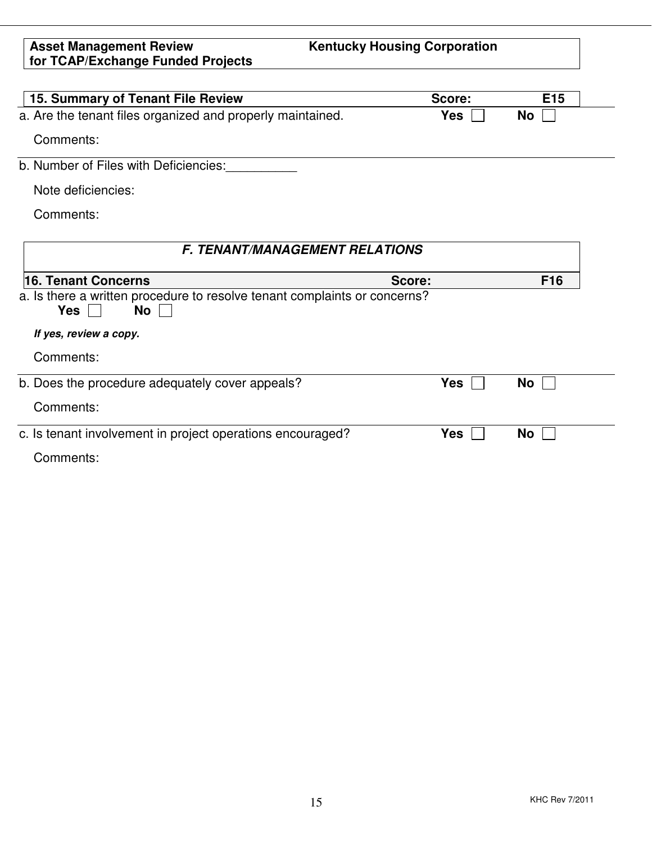**Kentucky Housing Corporation**

| 15. Summary of Tenant File Review                                                             | Score:     | E <sub>15</sub> |
|-----------------------------------------------------------------------------------------------|------------|-----------------|
| a. Are the tenant files organized and properly maintained.                                    | <b>Yes</b> | No              |
| Comments:                                                                                     |            |                 |
| b. Number of Files with Deficiencies:                                                         |            |                 |
| Note deficiencies:                                                                            |            |                 |
| Comments:                                                                                     |            |                 |
|                                                                                               |            |                 |
| <b>F. TENANT/MANAGEMENT RELATIONS</b>                                                         |            |                 |
| 16. Tenant Concerns<br>Score:                                                                 |            | F <sub>16</sub> |
| a. Is there a written procedure to resolve tenant complaints or concerns?<br><b>No</b><br>Yes |            |                 |
| If yes, review a copy.                                                                        |            |                 |
| Comments:                                                                                     |            |                 |
| b. Does the procedure adequately cover appeals?                                               | <b>Yes</b> | No              |
| Comments:                                                                                     |            |                 |
| c. Is tenant involvement in project operations encouraged?                                    | Yes        | No              |
| Comments:                                                                                     |            |                 |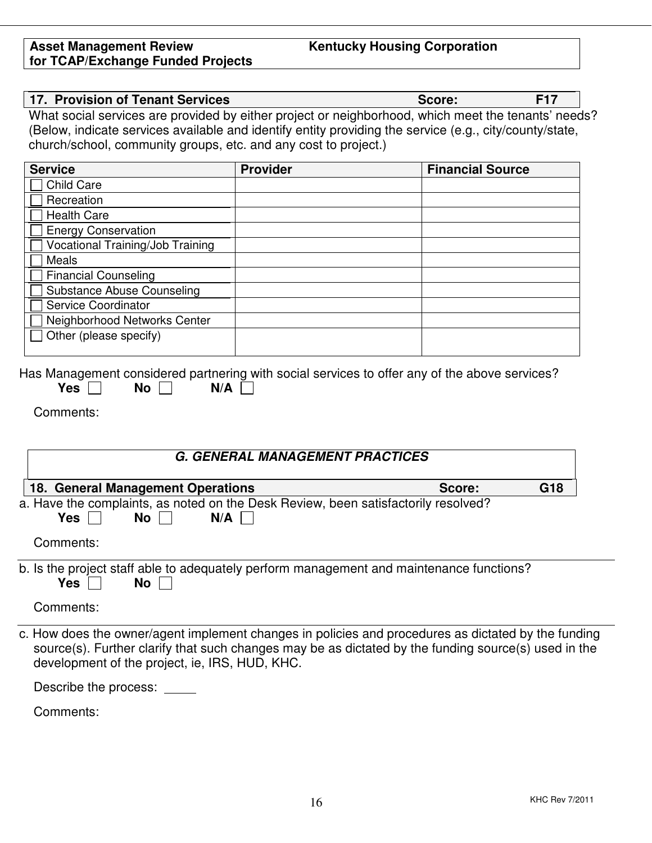# **Kentucky Housing Corporation**

| <b>Service</b>                                                                                                                                                                                                                                                | <b>Provider</b>                        | <b>Financial Source</b> |     |
|---------------------------------------------------------------------------------------------------------------------------------------------------------------------------------------------------------------------------------------------------------------|----------------------------------------|-------------------------|-----|
| <b>Child Care</b>                                                                                                                                                                                                                                             |                                        |                         |     |
| Recreation                                                                                                                                                                                                                                                    |                                        |                         |     |
| <b>Health Care</b>                                                                                                                                                                                                                                            |                                        |                         |     |
| <b>Energy Conservation</b>                                                                                                                                                                                                                                    |                                        |                         |     |
| Vocational Training/Job Training                                                                                                                                                                                                                              |                                        |                         |     |
| <b>Meals</b>                                                                                                                                                                                                                                                  |                                        |                         |     |
| <b>Financial Counseling</b>                                                                                                                                                                                                                                   |                                        |                         |     |
| <b>Substance Abuse Counseling</b>                                                                                                                                                                                                                             |                                        |                         |     |
| Service Coordinator                                                                                                                                                                                                                                           |                                        |                         |     |
| Neighborhood Networks Center                                                                                                                                                                                                                                  |                                        |                         |     |
| Other (please specify)                                                                                                                                                                                                                                        |                                        |                         |     |
|                                                                                                                                                                                                                                                               |                                        |                         |     |
|                                                                                                                                                                                                                                                               | <b>G. GENERAL MANAGEMENT PRACTICES</b> |                         |     |
| Comments:<br>18. General Management Operations                                                                                                                                                                                                                |                                        | Score:                  | G18 |
|                                                                                                                                                                                                                                                               |                                        |                         |     |
| <b>No</b><br>Yes                                                                                                                                                                                                                                              | N/A                                    |                         |     |
| Comments:                                                                                                                                                                                                                                                     |                                        |                         |     |
| <b>Yes</b><br>No                                                                                                                                                                                                                                              |                                        |                         |     |
| a. Have the complaints, as noted on the Desk Review, been satisfactorily resolved?<br>b. Is the project staff able to adequately perform management and maintenance functions?<br>Comments:                                                                   |                                        |                         |     |
| c. How does the owner/agent implement changes in policies and procedures as dictated by the funding<br>source(s). Further clarify that such changes may be as dictated by the funding source(s) used in the<br>development of the project, ie, IRS, HUD, KHC. |                                        |                         |     |

**17. Provision of Tenant Services Score: F17**

What social services are provided by either project or neighborhood, which meet the tenants' needs? (Below, indicate services available and identify entity providing the service (e.g., city/county/state,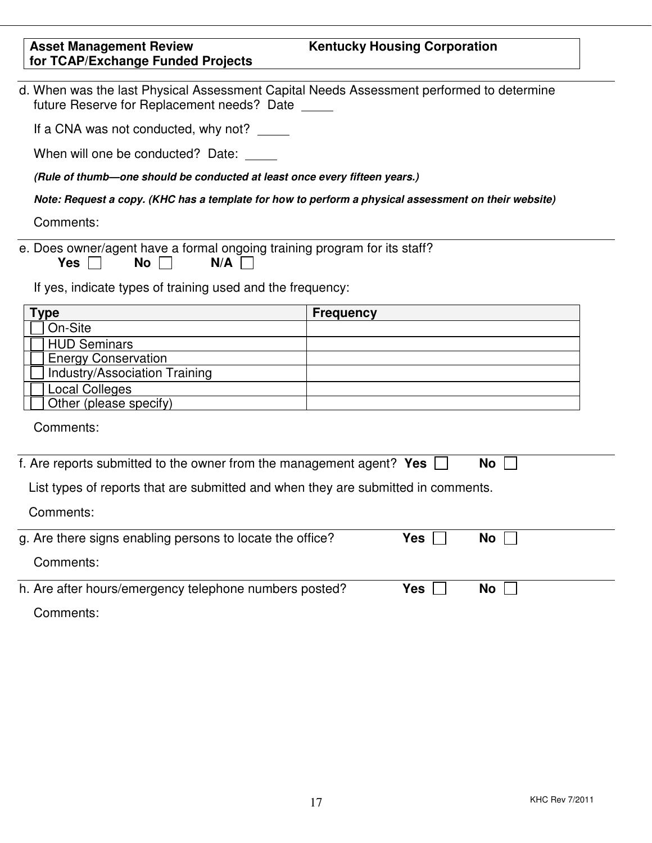| <b>Asset Management Review</b><br>for TCAP/Exchange Funded Projects                                                                                                | <b>Kentucky Housing Corporation</b>                                                                  |  |  |  |
|--------------------------------------------------------------------------------------------------------------------------------------------------------------------|------------------------------------------------------------------------------------------------------|--|--|--|
| future Reserve for Replacement needs? Date                                                                                                                         | d. When was the last Physical Assessment Capital Needs Assessment performed to determine             |  |  |  |
| If a CNA was not conducted, why not?                                                                                                                               |                                                                                                      |  |  |  |
| When will one be conducted? Date: _____                                                                                                                            |                                                                                                      |  |  |  |
| (Rule of thumb-one should be conducted at least once every fifteen years.)                                                                                         |                                                                                                      |  |  |  |
|                                                                                                                                                                    | Note: Request a copy. (KHC has a template for how to perform a physical assessment on their website) |  |  |  |
| Comments:                                                                                                                                                          |                                                                                                      |  |  |  |
| e. Does owner/agent have a formal ongoing training program for its staff?<br>N/A<br><b>Yes</b><br>No<br>If yes, indicate types of training used and the frequency: |                                                                                                      |  |  |  |
| <b>Type</b>                                                                                                                                                        | <b>Frequency</b>                                                                                     |  |  |  |
| On-Site                                                                                                                                                            |                                                                                                      |  |  |  |
| <b>HUD Seminars</b>                                                                                                                                                |                                                                                                      |  |  |  |
| <b>Energy Conservation</b>                                                                                                                                         |                                                                                                      |  |  |  |
| Industry/Association Training                                                                                                                                      |                                                                                                      |  |  |  |
| <b>Local Colleges</b><br>Other (please specify)                                                                                                                    |                                                                                                      |  |  |  |
|                                                                                                                                                                    |                                                                                                      |  |  |  |
| Comments:                                                                                                                                                          |                                                                                                      |  |  |  |
| f. Are reports submitted to the owner from the management agent? Yes                                                                                               | <b>No</b>                                                                                            |  |  |  |
| List types of reports that are submitted and when they are submitted in comments.                                                                                  |                                                                                                      |  |  |  |
| Comments:                                                                                                                                                          |                                                                                                      |  |  |  |
| g. Are there signs enabling persons to locate the office?                                                                                                          | <b>Yes</b><br>No                                                                                     |  |  |  |
| Comments:                                                                                                                                                          |                                                                                                      |  |  |  |
| h. Are after hours/emergency telephone numbers posted?                                                                                                             | Yes<br>No                                                                                            |  |  |  |
| Comments:                                                                                                                                                          |                                                                                                      |  |  |  |